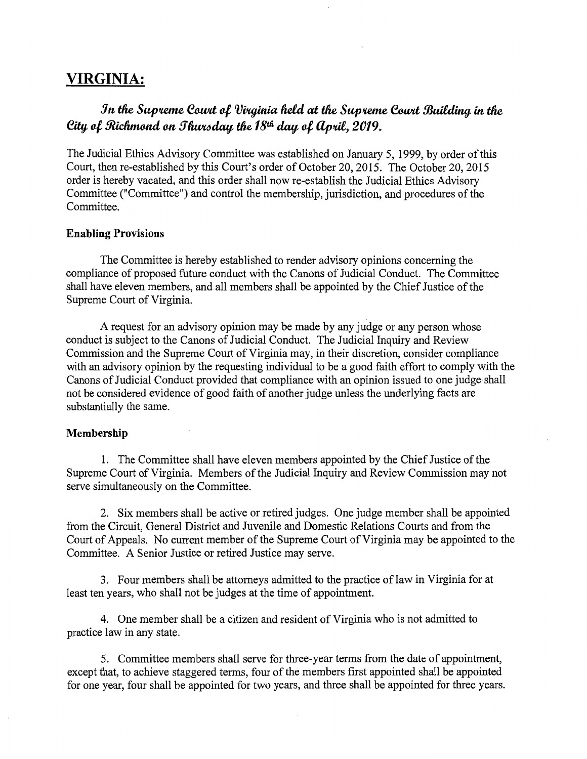# **VIRGINIA:**

# *Jn* **tlie** *Sup1teme ecwtt ol, VVUJinia field at* **tlie** *Sup1teme ecwtt* **!JJuilding in tlie**  *eity, ol, 9udinwnd on 5~day,* **tlie** *18tli day, ol,* **llp1til,** *2019.*

The Judicial Ethics Advisory Committee was established on January 5, 1999, by order of this Court, then re-established by this Court's order of October 20, 2015. The October 20, 2015 order is hereby vacated, and this order shall now re-establish the Judicial Ethics Advisory Committee ("Committee") and control the membership, jurisdiction, and procedures of the Committee.

#### **Enabling Provisions**

The Committee is hereby established to render advisory opinions concerning the compliance of proposed future conduct with the Canons of Judicial Conduct. The Committee shall have eleven members, and all members shall be appointed by the Chief Justice of the Supreme Court of Virginia.

A request for an advisory opinion may be made by any judge or any person whose conduct is subject to the Canons of Judicial Conduct. The Judicial Inquiry and Review Commission and the Supreme Court of Virginia may, in their discretion, consider compliance with an advisory opinion by the requesting individual to be a good faith effort to comply with the Canons of Judicial Conduct provided that compliance with an opinion issued to one judge shall not be considered evidence of good faith of another judge unless the underlying facts are substantially the same.

#### **Membership**

1. The Committee shall have eleven members appointed by the Chief Justice of the Supreme Court of Virginia. Members of the Judicial Inquiry and Review Commission may not serve simultaneously on the Committee.

2. Six members shall be active or retired judges. One judge member shall be appointed from the Circuit, General District and Juvenile and Domestic Relations Courts and from the Court of Appeals. No current member of the Supreme Court of Virginia may be appointed to the Committee. A Senior Justice or retired Justice may serve.

3. Four members shall be attorneys admitted to the practice of law in Virginia for at least ten years, who shall not be judges at the time of appointment.

4. One member shall be a citizen and resident of Virginia who is not admitted to practice law in any state.

5. Committee members shall serve for three-year terms from the date of appointment, except that, to achieve staggered terms, four of the members first appointed shall be appointed for one year, four shall be appointed for two years, and three shall be appointed for three years.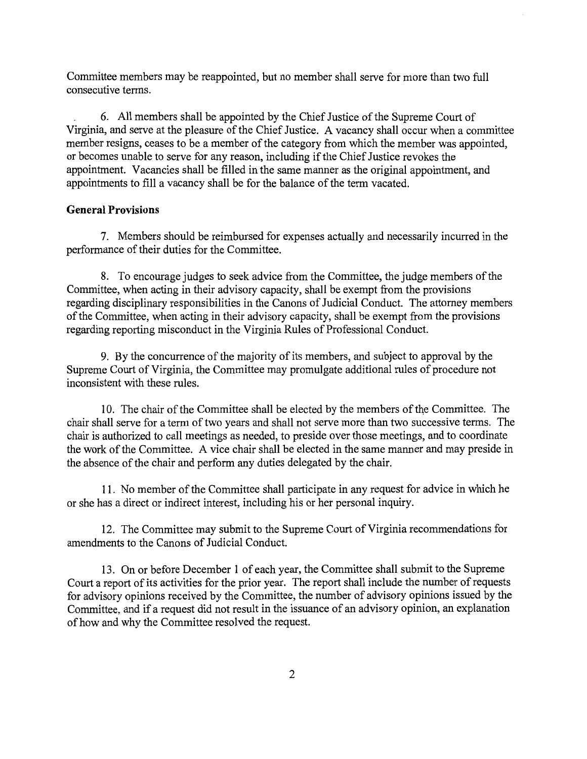Committee members may be reappointed, but no member shall serve for more than two full consecutive terms.

6. All members shall be appointed by the Chief Justice of the Supreme Court of Virginia, and serve at the pleasure of the Chief Justice. A vacancy shall occur when a committee member resigns, ceases to be a member of the category from which the member was appointed, or becomes unable to serve for any reason, including if the Chief Justice revokes the appointment. Vacancies shall be filled in the same manner as the original appointment, and appointments to fill a vacancy shall be for the balance of the term vacated.

### **General Provisions**

7. Members should be reimbursed for expenses actually and necessarily incurred in the performance of their duties for the Committee.

8. To encourage judges to seek advice from the Committee, the judge members of the Committee, when acting in their advisory capacity, shall be exempt from the provisions regarding disciplinary responsibilities in the Canons of Judicial Conduct. The attorney members of the Committee, when acting in their advisory capacity, shall be exempt from the provisions regarding reporting misconduct in the Virginia Rules of Professional Conduct.

9. By the concurrence of the majority of its members, and subject to approval by the Supreme Court of Virginia, the Committee may promulgate additional rules of procedure not inconsistent with these rules.

10. The chair of the Committee shall be elected by the members of the Committee. The chair shall serve for a term of two years and shall not serve more than two successive terms. The chair is authorized to call meetings as needed, to preside over those meetings, and to coordinate the work of the Committee. A vice chair shall be elected in the same manner and may preside in the absence of the chair and perform any duties delegated by the chair.

11. No member of the Committee shall participate in any request for advice in which he or she has a direct or indirect interest, including his or her personal inquiry.

12. The Committee may submit to the Supreme Court of Virginia recommendations for amendments to the Canons of Judicial Conduct.

13. On or before December 1 of each year, the Committee shall submit to the Supreme Court a report of its activities for the prior year. The report shall include the number ofrequests for advisory opinions received by the Committee, the number of advisory opinions issued by the Committee, and if a request did not result in the issuance of an advisory opinion, an explanation of how and why the Committee resolved the request.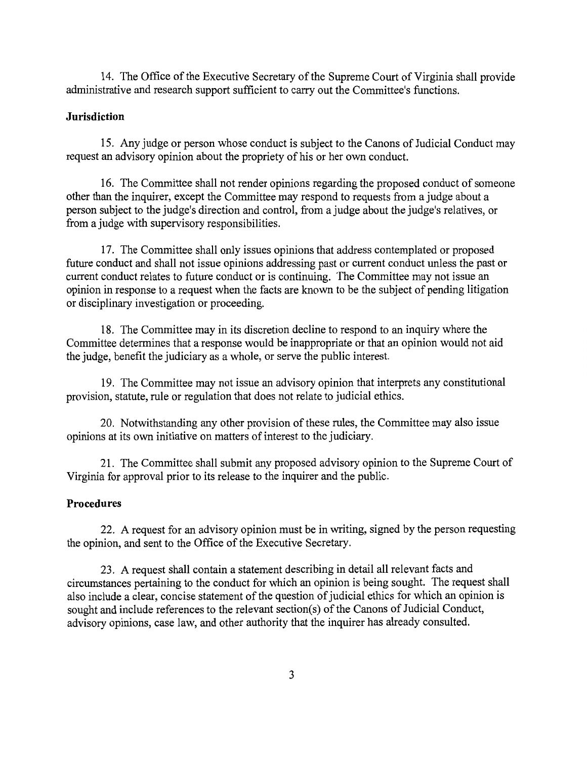14. The Office of the Executive Secretary of the Supreme Court of Virginia shall provide administrative and research support sufficient to carry out the Committee's functions.

## **Jurisdiction**

15. Any judge or person whose conduct is subject to the Canons of Judicial Conduct may request an advisory opinion about the propriety of his or her own conduct.

16. The Committee shall not render opinions regarding the proposed conduct of someone other than the inquirer, except the Committee may respond to requests from a judge about a person subject to the judge's direction and control, from a judge about the judge's relatives, or from a judge with supervisory responsibilities.

17. The Committee shall only issues opinions that address contemplated or proposed future conduct and shall not issue opinions addressing past or current conduct unless the past or current conduct relates to future conduct or is continuing. The Committee may not issue an opinion in response to a request when the facts are known to be the subject of pending litigation or disciplinary investigation or proceeding.

18. The Committee may in its discretion decline to respond to an inquiry where the Committee determines that a response would be inappropriate or that an opinion would not aid the judge, benefit the judiciary as a whole, or serve the public interest.

19. The Committee may not issue an advisory opinion that interprets any constitutional provision, statute, rule or regulation that does not relate to judicial ethics.

20. Notwithstanding any other provision of these rules, the Committee may also issue opinions at its own initiative on matters of interest to the judiciary.

21. The Committee shall submit any proposed advisory opinion to the Supreme Court of Virginia for approval prior to its release to the inquirer and the public.

### **Procedures**

22. A request for an advisory opinion must be in writing, signed by the person requesting the opinion, and sent to the Office of the Executive Secretary.

23. A request shall contain a statement describing in detail all relevant facts and circumstances pertaining to the conduct for which an opinion is being sought. The request shall also include a clear, concise statement of the question of judicial ethics for which an opinion is sought and include references to the relevant section(s) of the Canons of Judicial Conduct, advisory opinions, case law, and other authority that the inquirer has already consulted.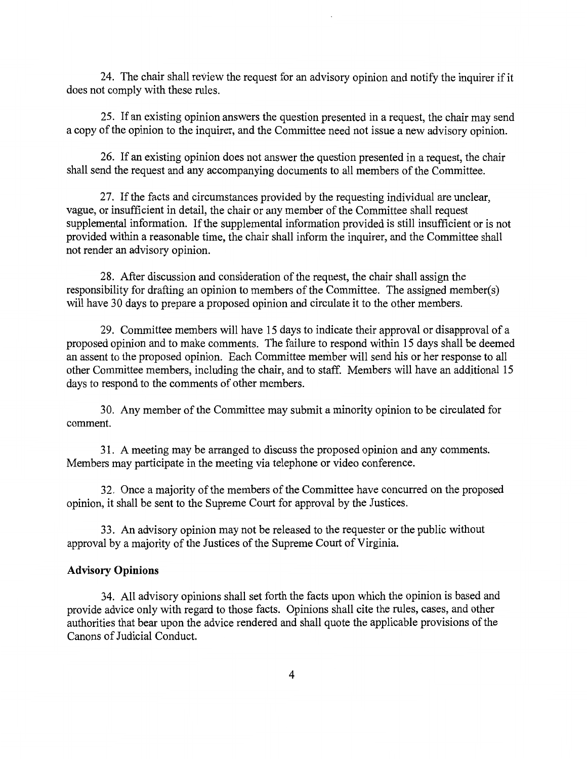24. The chair shall review the request for an advisory opinion and notify the inquirer if it does not comply with these rules.

25. If an existing opinion answers the question presented in a request, the chair may send a copy of the opinion to the inquirer, and the Committee need not issue a new advisory opinion.

26. If an existing opinion does not answer the question presented in a request, the chair shall send the request and any accompanying documents to all members of the Committee.

27. If the facts and circumstances provided by the requesting individual are unclear, vague, or insufficient in detail, the chair or any member of the Committee shall request supplemental information. If the supplemental information provided is still insufficient or is not provided within a reasonable time, the chair shall inform the inquirer, and the Committee shall not render an advisory opinion.

28. After discussion and consideration of the request, the chair shall assign the responsibility for drafting an opinion to members of the Committee. The assigned member(s) will have 30 days to prepare a proposed opinion and circulate it to the other members.

29. Committee members will have 15 days to indicate their approval or disapproval of a proposed opinion and to make comments. The failure to respond within 15 days shall be deemed an assent to the proposed opinion. Each Committee member will send his or her response to all other Committee members, including the chair, and to staff. Members will have an additional 15 days to respond to the comments of other members.

30. Any member of the Committee may submit a minority opinion to be circulated for comment.

31. A meeting may be arranged to discuss the proposed opinion and any comments. Members may participate in the meeting via telephone or video conference.

32. Once a majority of the members of the Committee have concurred on the proposed opinion, it shall be sent to the Supreme Court for approval by the Justices.

33. An advisory opinion may not be released to the requester or the public without approval by a majority of the Justices of the Supreme Court of Virginia.

#### **Advisory Opinions**

34. All advisory opinions shall set forth the facts upon which the opinion is based and provide advice only with regard to those facts. Opinions shall cite the rules, cases, and other authorities that bear upon the advice rendered and shall quote the applicable provisions of the Canons of Judicial Conduct.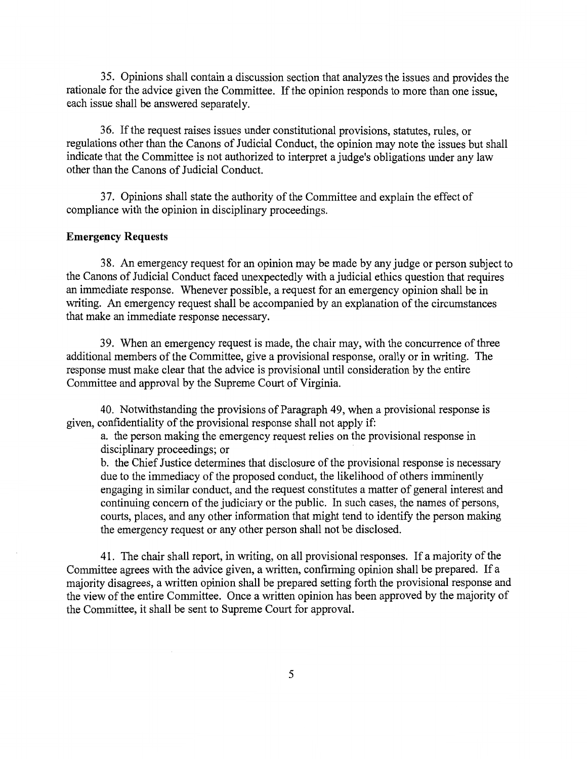35. Opinions shall contain a discussion section that analyzes the issues and provides the rationale for the advice given the Committee. If the opinion responds to more than one issue, each issue shall be answered separately.

36. If the request raises issues under constitutional provisions, statutes, rules, or regulations other than the Canons of Judicial Conduct, the opinion may note the issues but shall indicate that the Committee is not authorized to interpret a judge's obligations under any law other than the Canons of Judicial Conduct.

3 7. Opinions shall state the authority of the Committee and explain the effect of compliance with the opinion in disciplinary proceedings.

#### **Emergency Requests**

38. An emergency request for an opinion may be made by any judge or person subject to the Canons of Judicial Conduct faced unexpectedly with a judicial ethics question that requires an immediate response. Whenever possible, a request for an emergency opinion shall be in writing. An emergency request shall be accompanied by an explanation of the circumstances that make an immediate response necessary.

39. When an emergency request is made, the chair may, with the concurrence of three additional members of the Committee, give a provisional response, orally or in writing. The response must make clear that the advice is provisional until consideration by the entire Committee and approval by the Supreme Court of Virginia.

40. Notwithstanding the provisions of Paragraph 49, when a provisional response is given, confidentiality of the provisional response shall not apply if:

a. the person making the emergency request relies on the provisional response in disciplinary proceedings; or

b. the Chief Justice determines that disclosure of the provisional response is necessary due to the immediacy of the proposed conduct, the likelihood of others imminently engaging in similar conduct, and the request constitutes a matter of general interest and continuing concern of the judiciary or the public. In such cases, the names of persons, courts, places, and any other information that might tend to identify the person making the emergency request or any other person shall not be disclosed.

41. The chair shall report, in writing, on all provisional responses. If a majority of the Committee agrees with the advice given, a written, confirming opinion shall be prepared. If a majority disagrees, a written opinion shall be prepared setting forth the provisional response and the view of the entire Committee. Once a written opinion has been approved by the majority of the Committee, it shall be sent to Supreme Court for approval.